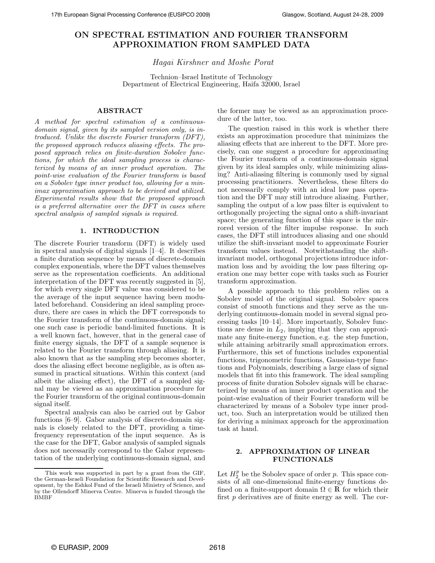# ON SPECTRAL ESTIMATION AND FOURIER TRANSFORM APPROXIMATION FROM SAMPLED DATA

# Hagai Kirshner and Moshe Porat

Technion–Israel Institute of Technology Department of Electrical Engineering, Haifa 32000, Israel

# ABSTRACT

A method for spectral estimation of a continuousdomain signal, given by its sampled version only, is introduced. Unlike the discrete Fourier transform (DFT), the proposed approach reduces aliasing effects. The proposed approach relies on finite-duration Sobolev functions, for which the ideal sampling process is characterized by means of an inner product operation. The point-wise evaluation of the Fourier transform is based on a Sobolev type inner product too, allowing for a minimax approximation approach to be derived and utilized. Experimental results show that the proposed approach is a preferred alternative over the DFT in cases where spectral analysis of sampled signals is required.

### 1. INTRODUCTION

The discrete Fourier transform (DFT) is widely used in spectral analysis of digital signals [1–4]. It describes a finite duration sequence by means of discrete-domain complex exponentials, where the DFT values themselves serve as the representation coefficients. An additional interpretation of the DFT was recently suggested in [5], for which every single DFT value was considered to be the average of the input sequence having been modulated beforehand. Considering an ideal sampling procedure, there are cases in which the DFT corresponds to the Fourier transform of the continuous-domain signal; one such case is periodic band-limited functions. It is a well known fact, however, that in the general case of finite energy signals, the DFT of a sample sequence is related to the Fourier transform through aliasing. It is also known that as the sampling step becomes shorter, does the aliasing effect become negligible, as is often assumed in practical situations. Within this context (and albeit the aliasing effect), the DFT of a sampled signal may be viewed as an approximation procedure for the Fourier transform of the original continuous-domain signal itself.

Spectral analysis can also be carried out by Gabor functions [6–9]. Gabor analysis of discrete-domain signals is closely related to the DFT, providing a timefrequency representation of the input sequence. As is the case for the DFT, Gabor analysis of sampled signals does not necessarily correspond to the Gabor representation of the underlying continuous-domain signal, and the former may be viewed as an approximation procedure of the latter, too.

The question raised in this work is whether there exists an approximation procedure that minimizes the aliasing effects that are inherent to the DFT. More precisely, can one suggest a procedure for approximating the Fourier transform of a continuous-domain signal given by its ideal samples only, while minimizing aliasing? Anti-aliasing filtering is commonly used by signal processing practitioners. Nevertheless, these filters do not necessarily comply with an ideal low pass operation and the DFT may still introduce aliasing. Further, sampling the output of a low pass filter is equivalent to orthogonally projecting the signal onto a shift-invariant space; the generating function of this space is the mirrored version of the filter impulse response. In such cases, the DFT still introduces aliasing and one should utilize the shift-invariant model to approximate Fourier transform values instead. Notwithstanding the shiftinvariant model, orthogonal projections introduce information loss and by avoiding the low pass filtering operation one may better cope with tasks such as Fourier transform approximation.

A possible approach to this problem relies on a Sobolev model of the original signal. Sobolev spaces consist of smooth functions and they serve as the underlying continuous-domain model in several signal processing tasks [10–14]. More importantly, Sobolev functions are dense in  $L_2$ , implying that they can approximate any finite-energy function, e.g. the step function, while attaining arbitrarily small approximation errors. Furthermore, this set of functions includes exponential functions, trigonometric functions, Gaussian-type functions and Polynomials, describing a large class of signal models that fit into this framework. The ideal sampling process of finite duration Sobolev signals will be characterized by means of an inner product operation and the point-wise evaluation of their Fourier transform will be characterized by means of a Sobolev type inner product, too. Such an interpretation would be utilized then for deriving a minimax approach for the approximation task at hand.

#### 2. APPROXIMATION OF LINEAR FUNCTIONALS

Let  $H_2^p$  be the Sobolev space of order p. This space consists of all one-dimensional finite-energy functions defined on a finite-support domain  $\Omega \in \mathbb{R}$  for which their first p derivatives are of finite energy as well. The cor-

This work was supported in part by a grant from the GIF, the German-Israeli Foundation for Scientific Research and Development, by the Eshkol Fund of the Israeli Ministry of Science, and by the Ollendorff Minerva Centre. Minerva is funded through the BMBF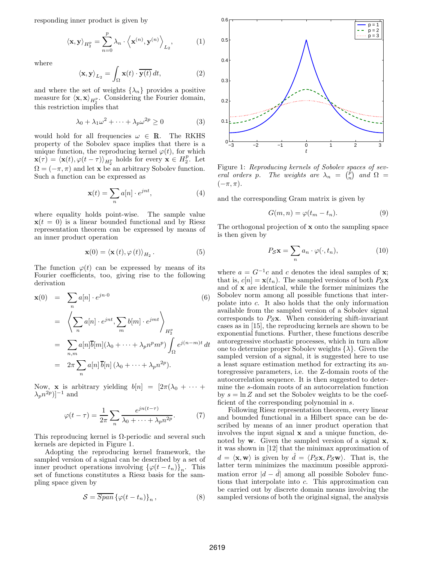responding inner product is given by

$$
\langle \mathbf{x}, \mathbf{y} \rangle_{H_2^p} = \sum_{n=0}^p \lambda_n \cdot \langle \mathbf{x}^{(n)}, \mathbf{y}^{(n)} \rangle_{L_2}, \tag{1}
$$

where

$$
\langle \mathbf{x}, \mathbf{y} \rangle_{L_2} = \int_{\Omega} \mathbf{x}(t) \cdot \overline{\mathbf{y}(t)} dt,
$$
 (2)

and where the set of weights  $\{\lambda_n\}$  provides a positive measure for  $\langle \mathbf{x}, \mathbf{x} \rangle_{H_2^p}$ . Considering the Fourier domain, this restriction implies that

$$
\lambda_0 + \lambda_1 \omega^2 + \dots + \lambda_p \omega^{2p} \ge 0 \tag{3}
$$

would hold for all frequencies  $\omega \in \mathbb{R}$ . The RKHS property of the Sobolev space implies that there is a unique function, the reproducing kernel  $\varphi(t)$ , for which  $\mathbf{x}(\tau) = \langle \mathbf{x}(t), \varphi(t-\tau) \rangle_{H_2^p}$  holds for every  $\mathbf{x} \in H_2^p$ . Let  $\Omega = (-\pi, \pi)$  and let **x** be an arbitrary Sobolev function. Such a function can be expressed as

$$
\mathbf{x}(t) = \sum_{n} a[n] \cdot e^{jnt}, \tag{4}
$$

where equality holds point-wise. The sample value  $\mathbf{x}(t = 0)$  is a linear bounded functional and by Riesz representation theorem can be expressed by means of an inner product operation

$$
\mathbf{x}(0) = \langle \mathbf{x}(t), \varphi(t) \rangle_{H_2}.
$$
 (5)

The function  $\varphi(t)$  can be expressed by means of its Fourier coefficients, too, giving rise to the following derivation

$$
\mathbf{x}(0) = \sum_{n} a[n] \cdot e^{jn \cdot 0}
$$
\n
$$
= \left\langle \sum_{n} a[n] \cdot e^{jnt}, \sum_{m} b[m] \cdot e^{jmt} \right\rangle_{H_2^p}
$$
\n
$$
= \sum_{n,m} a[n] \overline{b}[m] (\lambda_0 + \dots + \lambda_p n^p m^p) \int_{\Omega} e^{j(n-m)t} dt
$$
\n
$$
= 2\pi \sum_{n} a[n] \overline{b}[n] (\lambda_0 + \dots + \lambda_p n^{2p}).
$$
\n(6)

Now, **x** is arbitrary yielding  $b[n] = [2\pi(\lambda_0 + \cdots +$  $(\lambda_p n^{2p})]^{-1}$  and

$$
\varphi(t-\tau) = \frac{1}{2\pi} \sum_{n} \frac{e^{jn(t-\tau)}}{\lambda_0 + \dots + \lambda_p n^{2p}}.
$$
 (7)

This reproducing kernel is  $\Omega$ -periodic and several such kernels are depicted in Figure 1.

Adopting the reproducing kernel framework, the sampled version of a signal can be described by a set of inner product operations involving  $\{\varphi(t-t_n)\}_n$ . This set of functions constitutes a Riesz basis for the sampling space given by

$$
S = \overline{Span} \left\{ \varphi(t - t_n) \right\}_n, \tag{8}
$$



Figure 1: Reproducing kernels of Sobolev spaces of several orders p. The weights are  $\lambda_n = \begin{pmatrix} \dot{p} \\ n \end{pmatrix}$  and  $\Omega =$  $(-\pi, \pi)$ .

and the corresponding Gram matrix is given by

$$
G(m,n) = \varphi(t_m - t_n). \tag{9}
$$

The orthogonal projection of  $x$  onto the sampling space is then given by

$$
P_{\mathcal{S}}\mathbf{x} = \sum_{n} a_n \cdot \varphi(\cdot, t_n),\tag{10}
$$

where  $a = G^{-1}c$  and c denotes the ideal samples of **x**; that is,  $c[n] = \mathbf{x}(t_n)$ . The sampled versions of both  $P_{\mathcal{S}}\mathbf{x}$ and of x are identical, while the former minimizes the Sobolev norm among all possible functions that interpolate into c. It also holds that the only information available from the sampled version of a Sobolev signal corresponds to  $P_S$ **x**. When considering shift-invariant cases as in [15], the reproducing kernels are shown to be exponential functions. Further, these functions describe autoregressive stochastic processes, which in turn allow one to determine proper Sobolev weights  $\{\lambda\}$ . Given the sampled version of a signal, it is suggested here to use a least square estimation method for extracting its autoregressive parameters, i.e. the Z-domain roots of the autocorrelation sequence. It is then suggested to determine the s-domain roots of an autocorrelation function by  $s = \ln Z$  and set the Sobolev weights to be the coefficient of the corresponding polynomial in s.

Following Riesz representation theorem, every linear and bounded functional in a Hilbert space can be described by means of an inner product operation that involves the input signal  $x$  and a unique function, denoted by  $w$ . Given the sampled version of a signal  $x$ , it was shown in [12] that the minimax approximation of  $d = \langle \mathbf{x}, \mathbf{w} \rangle$  is given by  $\hat{d} = \langle P_{\mathcal{S}} \mathbf{x}, P_{\mathcal{S}} \mathbf{w} \rangle$ . That is, the latter term minimizes the maximum possible approximation error  $|d - \hat{d}|$  among all possible Sobolev functions that interpolate into c. This approximation can be carried out by discrete domain means involving the sampled versions of both the original signal, the analysis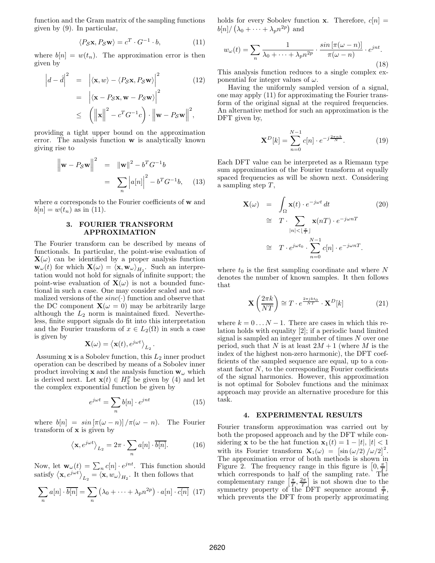function and the Gram matrix of the sampling functions given by (9). In particular,

$$
\langle P_{\mathcal{S}} \mathbf{x}, P_{\mathcal{S}} \mathbf{w} \rangle = c^T \cdot G^{-1} \cdot b,\tag{11}
$$

where  $b[n] = w(t_n)$ . The approximation error is then given by

$$
\left| d - \hat{d} \right|^2 = \left| \langle \mathbf{x}, w \rangle - \langle P_{\mathcal{S}} \mathbf{x}, P_{\mathcal{S}} \mathbf{w} \rangle \right|^2 \qquad (12)
$$

$$
= \left| \langle \mathbf{x} - P_{\mathcal{S}} \mathbf{x}, \mathbf{w} - P_{\mathcal{S}} \mathbf{w} \rangle \right|^2
$$

$$
\leq \left( \left\| \mathbf{x} \right\|^2 - c^T G^{-1} c \right) \cdot \left\| \mathbf{w} - P_{\mathcal{S}} \mathbf{w} \right\|^2,
$$

providing a tight upper bound on the approximation error. The analysis function w is analytically known giving rise to

$$
\|\mathbf{w} - P_S \mathbf{w}\|^2 = \|\mathbf{w}\|^2 - b^T G^{-1} b
$$

$$
= \sum_n |a[n]|^2 - b^T G^{-1} b, \quad (13)
$$

where a corresponds to the Fourier coefficients of **w** and  $b[n] = w(t_n)$  as in (11).

## 3. FOURIER TRANSFORM APPROXIMATION

The Fourier transform can be described by means of functionals. In particular, the point-wise evaluation of  $\mathbf{X}(\omega)$  can be identified by a proper analysis function  $\mathbf{w}_{\omega}(t)$  for which  $\mathbf{X}(\omega) = \langle \mathbf{x}, \mathbf{w}_{\omega} \rangle_{H_2}$ . Such an interpretation would not hold for signals of infinite support; the point-wise evaluation of  $\mathbf{X}(\omega)$  is not a bounded functional in such a case. One may consider scaled and normalized versions of the  $sinc(\cdot)$  function and observe that the DC component  $\mathbf{X}(\omega = 0)$  may be arbitrarily large although the  $L_2$  norm is maintained fixed. Nevertheless, finite support signals do fit into this interpretation and the Fourier transform of  $x \in L_2(\Omega)$  in such a case is given by

$$
\mathbf{X}(\omega) = \langle \mathbf{x}(t), e^{j\omega t} \rangle_{L_2}.
$$

Assuming  $x$  is a Sobolev function, this  $L_2$  inner product operation can be described by means of a Sobolev inner product involving  ${\bf x}$  and the analysis function  ${\bf w}_\omega$  which is derived next. Let  $\mathbf{x}(t) \in H_2^p$  be given by (4) and let the complex exponential function be given by

$$
e^{j\omega t} = \sum_{n} b[n] \cdot e^{jnt} \tag{15}
$$

where  $b[n] = \sin[\pi(\omega - n)]/\pi(\omega - n)$ . The Fourier transform of  $x$  is given by

$$
\langle \mathbf{x}, e^{j\omega t} \rangle_{L_2} = 2\pi \cdot \sum_n a[n] \cdot \overline{b[n]}.
$$
 (16)

Now, let  $\mathbf{w}_{\omega}(t) = \sum_{n} c[n] \cdot e^{jnt}$ . This function should satisfy  $\langle \mathbf{x}, e^{j\omega t} \rangle_{L_2} = \langle \mathbf{x}, w_{\omega} \rangle_{H_2}$ . It then follows that

$$
\sum_{n} a[n] \cdot \overline{b[n]} = \sum_{n} \left( \lambda_0 + \dots + \lambda_p n^{2p} \right) \cdot a[n] \cdot \overline{c[n]} \tag{17}
$$

holds for every Sobolev function **x**. Therefore,  $c[n]$  =  $b[n]/(\lambda_0 + \cdots + \lambda_p n^{2p})$  and

$$
w_{\omega}(t) = \sum_{n} \frac{1}{\lambda_0 + \dots + \lambda_p n^{2p}} \cdot \frac{\sin \left[\pi(\omega - n)\right]}{\pi(\omega - n)} \cdot e^{jnt}.
$$
\n(18)

This analysis function reduces to a single complex exponential for integer values of  $\omega$ .

Having the uniformly sampled version of a signal, one may apply (11) for approximating the Fourier transform of the original signal at the required frequencies. An alternative method for such an approximation is the DFT given by,

$$
\mathbf{X}^{D}[k] = \sum_{n=0}^{N-1} c[n] \cdot e^{-j\frac{2\pi nk}{N}}.
$$
 (19)

Each DFT value can be interpreted as a Riemann type sum approximation of the Fourier transform at equally spaced frequencies as will be shown next. Considering a sampling step  $T$ ,

$$
\mathbf{X}(\omega) = \int_{\Omega} \mathbf{x}(t) \cdot e^{-j\omega t} dt \qquad (20)
$$

$$
\approx T \cdot \sum_{|n| < \lfloor \frac{\pi}{T} \rfloor} \mathbf{x}(n) \cdot e^{-j\omega n}
$$

$$
\approx T \cdot e^{j\omega t_0} \cdot \sum_{n=0}^{N-1} c[n] \cdot e^{-j\omega n}
$$

where  $t_0$  is the first sampling coordinate and where N denotes the number of known samples. It then follows that

$$
\mathbf{X}\left(\frac{2\pi k}{NT}\right) \cong T \cdot e^{\frac{2\pi j k t_0}{NT}} \cdot \mathbf{X}^D[k]
$$
 (21)

where  $k = 0 \dots N - 1$ . There are cases in which this relation holds with equality [2]; if a periodic band limited signal is sampled an integer number of times  $N$  over one period, such that N is at least  $2M + 1$  (where M is the index of the highest non-zero harmonic), the DFT coefficients of the sampled sequence are equal, up to a constant factor  $N$ , to the corresponding Fourier coefficients of the signal harmonics. However, this approximation is not optimal for Sobolev functions and the minimax approach may provide an alternative procedure for this task.

#### 4. EXPERIMENTAL RESULTS

Fourier transform approximation was carried out by both the proposed approach and by the DFT while considering **x** to be the hat function  $\mathbf{x}_1(t) = 1 - |t|, |t| < 1$ with its Fourier transform  $\mathbf{X}_1(\omega) = \left[\sin(\omega/2)/\omega/2\right]^2$ . The approximation error of both methods is shown in Figure 2. The frequency range in this figure is  $[0, \frac{\pi}{T}]$ which corresponds to half of the sampling rate. The complementary range  $\left[\frac{\pi}{T}, \frac{2\pi}{T}\right]$  is not shown due to the symmetry property of the DFT sequence around  $\frac{\pi}{T}$ , which prevents the DFT from properly approximating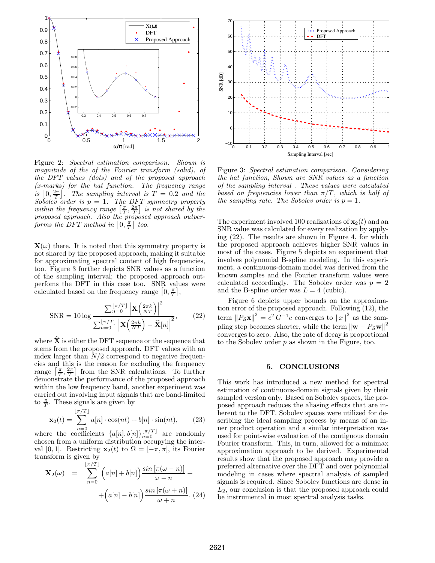

Figure 2: Spectral estimation comparison. Shown is magnitude of the of the Fourier transform (solid), of the DFT values (dots) and of the proposed approach (x-marks) for the hat function. The frequency range is  $[0, \frac{2\pi}{T}]$ . The sampling interval is  $T = 0.2$  and the Sobolev order is  $p = 1$ . The DFT symmetry property within the frequency range  $\left[\frac{\pi}{T}, \frac{2\pi}{T}\right]$  is not shared by the proposed approach. Also the proposed approach outperforms the DFT method in  $\left[0, \frac{\pi}{T}\right]$  too.

 $\mathbf{X}(\omega)$  there. It is noted that this symmetry property is not shared by the proposed approach, making it suitable for approximating spectral content of high frequencies, too. Figure 3 further depicts SNR values as a function of the sampling interval; the proposed approach outperfoms the DFT in this case too. SNR values were calculated based on the frequency range  $[0, \frac{\pi}{T}],$ 

$$
SNR = 10 \log \frac{\sum_{n=0}^{\lfloor \pi/T \rfloor} \left| \mathbf{X} \left( \frac{2\pi k}{NT} \right) \right|^2}{\sum_{n=0}^{\lfloor \pi/T \rfloor} \left| \mathbf{X} \left( \frac{2\pi k}{NT} \right) - \widehat{\mathbf{X}}[n] \right|^2},\qquad(22)
$$

where  $X$  is either the DFT sequence or the sequence that stems from the proposed approach. DFT values with an index larger than  $N/2$  correspond to negative frequencies and this is the reason for excluding the frequency range  $\left[\frac{\pi}{T}, \frac{2\pi}{T}\right]$  from the SNR calculations. To further demonstrate the performance of the proposed approach within the low frequency band, another experiment was carried out involving input signals that are band-limited to  $\frac{\pi}{T}$ . These signals are given by

$$
\mathbf{x}_2(t) = \sum_{n=0}^{\lfloor \pi/T \rfloor} a[n] \cdot \cos(nt) + b[n] \cdot \sin(nt), \qquad (23)
$$

where the coefficients  ${a[n], b[n]}_{n=0}^{\lfloor \pi/T \rfloor}$  are randomly chosen from a uniform distribution occupying the interval [0, 1]. Restricting  $\mathbf{x}_2(t)$  to  $\Omega = [-\pi, \pi]$ , its Fourier transform is given by

$$
\mathbf{X}_2(\omega) = \sum_{n=0}^{\lfloor \pi/T \rfloor} \left( a[n] + b[n] \right) \frac{\sin \left[ \pi(\omega - n) \right]}{\omega - n} + \left( a[n] - b[n] \right) \frac{\sin \left[ \pi(\omega + n) \right]}{\omega + n} . \tag{24}
$$



Figure 3: Spectral estimation comparison. Considering the hat function, Shown are SNR values as a function of the sampling interval . These values were calculated based on frequencies lower than  $\pi/T$ , which is half of the sampling rate. The Sobolev order is  $p = 1$ .

The experiment involved 100 realizations of  $\mathbf{x}_2(t)$  and an SNR value was calculated for every realization by applying (22). The results are shown in Figure 4, for which the proposed approach achieves higher SNR values in most of the cases. Figure 5 depicts an experiment that involves polynomial B-spline modeling. In this experiment, a continuous-domain model was derived from the known samples and the Fourier transform values were calculated accordingly. The Sobolev order was  $p = 2$ and the B-spline order was  $L = 4$  (cubic).

Figure 6 depicts upper bounds on the approximation error of the proposed approach. Following (12), the term  $||P_{\mathcal{S}} \mathbf{x}||^2 = c^T G^{-1} c$  converges to  $||x||^2$  as the sampling step becomes shorter, while the term  $\left\|\mathbf{w} - P_{\mathcal{S}}\mathbf{w}\right\|^2$ converges to zero. Also, the rate of decay is proportional to the Sobolev order  $p$  as shown in the Figure, too.

#### 5. CONCLUSIONS

This work has introduced a new method for spectral estimation of continuous-domain signals given by their sampled version only. Based on Sobolev spaces, the proposed approach reduces the aliasing effects that are inherent to the DFT. Sobolev spaces were utilized for describing the ideal sampling process by means of an inner product operation and a similar interpretation was used for point-wise evaluation of the contiguous domain Fourier transform. This, in turn, allowed for a minimax approximation approach to be derived. Experimental results show that the proposed approach may provide a preferred alternative over the DFT and over polynomial modeling in cases where spectral analysis of sampled signals is required. Since Sobolev functions are dense in  $L_2$ , our conclusion is that the proposed approach could be instrumental in most spectral analysis tasks.